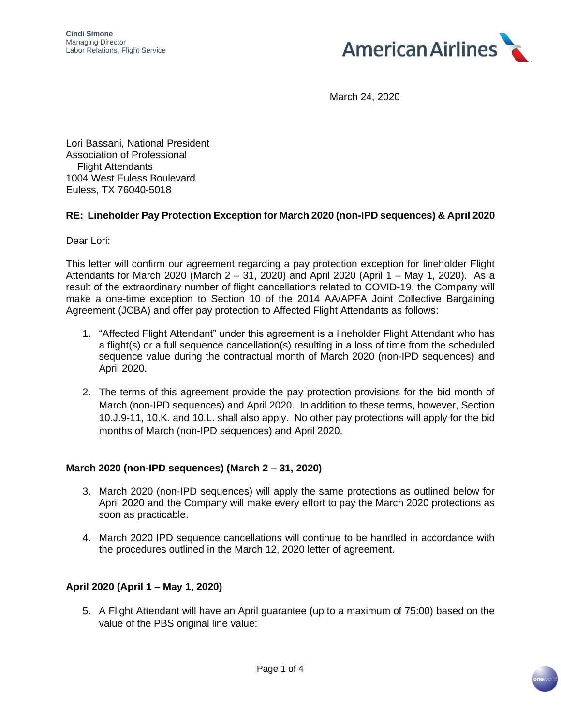

March 24, 2020

Lori Bassani, National President Association of Professional Flight Attendants 1004 West Euless Boulevard Euless, TX 76040-5018

### **RE: Lineholder Pay Protection Exception for March 2020 (non-IPD sequences) & April 2020**

Dear Lori:

This letter will confirm our agreement regarding a pay protection exception for lineholder Flight Attendants for March 2020 (March 2 – 31, 2020) and April 2020 (April 1 – May 1, 2020). As a result of the extraordinary number of flight cancellations related to COVID-19, the Company will make a one-time exception to Section 10 of the 2014 AA/APFA Joint Collective Bargaining Agreement (JCBA) and offer pay protection to Affected Flight Attendants as follows:

- 1. "Affected Flight Attendant" under this agreement is a lineholder Flight Attendant who has a flight(s) or a full sequence cancellation(s) resulting in a loss of time from the scheduled sequence value during the contractual month of March 2020 (non-IPD sequences) and April 2020.
- 2. The terms of this agreement provide the pay protection provisions for the bid month of March (non-IPD sequences) and April 2020. In addition to these terms, however, Section 10.J.9-11, 10.K. and 10.L. shall also apply. No other pay protections will apply for the bid months of March (non-IPD sequences) and April 2020.

## **March 2020 (non-IPD sequences) (March 2 – 31, 2020)**

- 3. March 2020 (non-IPD sequences) will apply the same protections as outlined below for April 2020 and the Company will make every effort to pay the March 2020 protections as soon as practicable.
- 4. March 2020 IPD sequence cancellations will continue to be handled in accordance with the procedures outlined in the March 12, 2020 letter of agreement.

## **April 2020 (April 1 – May 1, 2020)**

5. A Flight Attendant will have an April guarantee (up to a maximum of 75:00) based on the value of the PBS original line value:

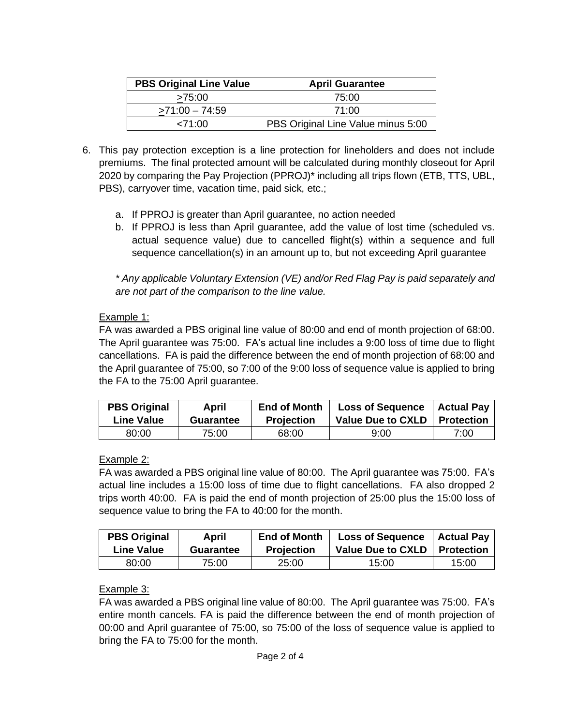| <b>PBS Original Line Value</b> | <b>April Guarantee</b>             |
|--------------------------------|------------------------------------|
| >75:00                         | 75:00                              |
| $>71:00 - 74:59$               | 71:00                              |
| 271:00                         | PBS Original Line Value minus 5:00 |

- 6. This pay protection exception is a line protection for lineholders and does not include premiums. The final protected amount will be calculated during monthly closeout for April 2020 by comparing the Pay Projection (PPROJ)\* including all trips flown (ETB, TTS, UBL, PBS), carryover time, vacation time, paid sick, etc.;
	- a. If PPROJ is greater than April guarantee, no action needed
	- b. If PPROJ is less than April guarantee, add the value of lost time (scheduled vs. actual sequence value) due to cancelled flight(s) within a sequence and full sequence cancellation(s) in an amount up to, but not exceeding April guarantee

*\* Any applicable Voluntary Extension (VE) and/or Red Flag Pay is paid separately and are not part of the comparison to the line value.*

# Example 1:

FA was awarded a PBS original line value of 80:00 and end of month projection of 68:00. The April guarantee was 75:00. FA's actual line includes a 9:00 loss of time due to flight cancellations. FA is paid the difference between the end of month projection of 68:00 and the April guarantee of 75:00, so 7:00 of the 9:00 loss of sequence value is applied to bring the FA to the 75:00 April guarantee.

| <b>PBS Original</b> | April            | <b>End of Month</b> | <b>Loss of Sequence</b>  | <b>Actual Pay</b> |
|---------------------|------------------|---------------------|--------------------------|-------------------|
| <b>Line Value</b>   | <b>Guarantee</b> | <b>Projection</b>   | <b>Value Due to CXLD</b> | <b>Protection</b> |
| 80:00               | 75:00            | 68:00               | 9:00                     | 7:00              |

## Example 2:

FA was awarded a PBS original line value of 80:00. The April guarantee was 75:00. FA's actual line includes a 15:00 loss of time due to flight cancellations. FA also dropped 2 trips worth 40:00. FA is paid the end of month projection of 25:00 plus the 15:00 loss of sequence value to bring the FA to 40:00 for the month.

| <b>PBS Original</b> | April            | <b>End of Month</b> | <b>Loss of Sequence</b>        | <b>Actual Pay</b> |
|---------------------|------------------|---------------------|--------------------------------|-------------------|
| <b>Line Value</b>   | <b>Guarantee</b> | <b>Projection</b>   | Value Due to CXLD   Protection |                   |
| 80:00               | 75:00            | 25:00               | 15:00                          | 15:00             |

# Example 3:

FA was awarded a PBS original line value of 80:00. The April guarantee was 75:00. FA's entire month cancels. FA is paid the difference between the end of month projection of 00:00 and April guarantee of 75:00, so 75:00 of the loss of sequence value is applied to bring the FA to 75:00 for the month.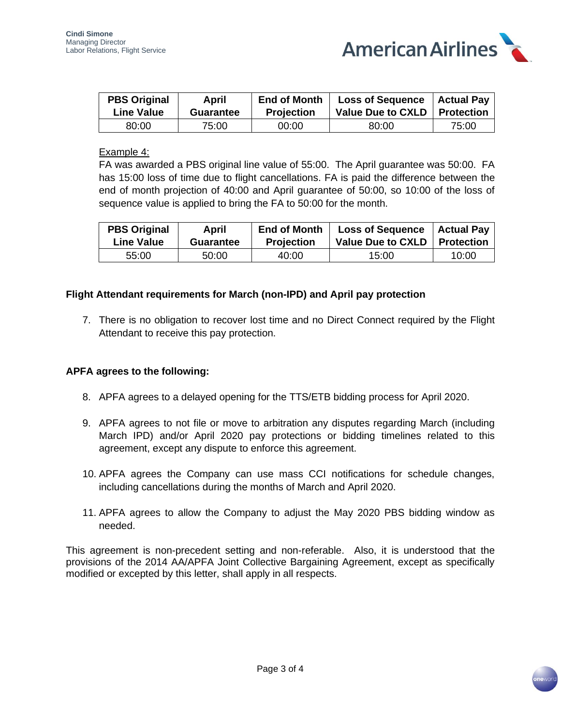

| <b>PBS Original</b> | April     | <b>End of Month</b> | Loss of Sequence   Actual Pay  |       |
|---------------------|-----------|---------------------|--------------------------------|-------|
| <b>Line Value</b>   | Guarantee | <b>Projection</b>   | Value Due to CXLD   Protection |       |
| 80:00               | 75:00     | 00:00               | 80:00                          | 75:00 |

### Example 4:

FA was awarded a PBS original line value of 55:00. The April guarantee was 50:00. FA has 15:00 loss of time due to flight cancellations. FA is paid the difference between the end of month projection of 40:00 and April guarantee of 50:00, so 10:00 of the loss of sequence value is applied to bring the FA to 50:00 for the month.

| <b>PBS Original</b> | April            | <b>End of Month</b> | <b>Loss of Sequence</b>        | <b>Actual Pay</b> |
|---------------------|------------------|---------------------|--------------------------------|-------------------|
| <b>Line Value</b>   | <b>Guarantee</b> | <b>Projection</b>   | Value Due to CXLD   Protection |                   |
| 55:00               | 50:00            | 40:00               | 15:00                          | 10:00             |

### **Flight Attendant requirements for March (non-IPD) and April pay protection**

7. There is no obligation to recover lost time and no Direct Connect required by the Flight Attendant to receive this pay protection.

#### **APFA agrees to the following:**

- 8. APFA agrees to a delayed opening for the TTS/ETB bidding process for April 2020.
- 9. APFA agrees to not file or move to arbitration any disputes regarding March (including March IPD) and/or April 2020 pay protections or bidding timelines related to this agreement, except any dispute to enforce this agreement.
- 10. APFA agrees the Company can use mass CCI notifications for schedule changes, including cancellations during the months of March and April 2020.
- 11. APFA agrees to allow the Company to adjust the May 2020 PBS bidding window as needed.

This agreement is non-precedent setting and non-referable. Also, it is understood that the provisions of the 2014 AA/APFA Joint Collective Bargaining Agreement, except as specifically modified or excepted by this letter, shall apply in all respects.